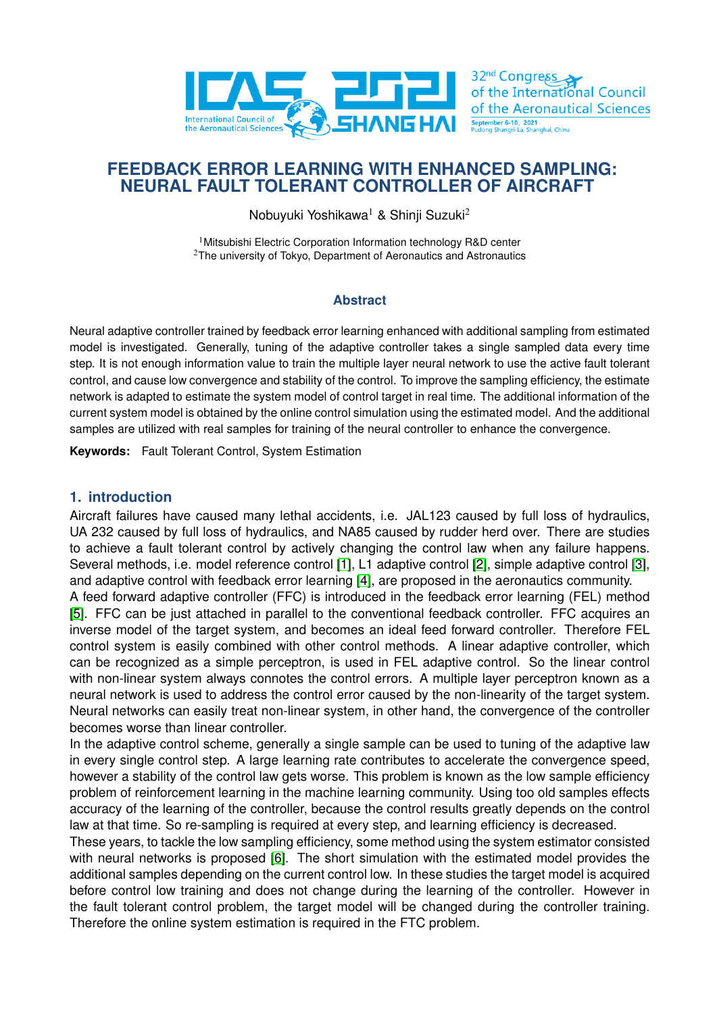

# **FEEDBACK ERROR LEARNING WITH ENHANCED SAMPLING: NEURAL FAULT TOLERANT CONTROLLER OF AIRCRAFT**

Nobuyuki Yoshikawa<sup>1</sup> & Shinji Suzuki<sup>2</sup>

<sup>1</sup> Mitsubishi Electric Corporation Information technology R&D center  $2$ The university of Tokyo, Department of Aeronautics and Astronautics

## **Abstract**

Neural adaptive controller trained by feedback error learning enhanced with additional sampling from estimated model is investigated. Generally, tuning of the adaptive controller takes a single sampled data every time step. It is not enough information value to train the multiple layer neural network to use the active fault tolerant control, and cause low convergence and stability of the control. To improve the sampling efficiency, the estimate network is adapted to estimate the system model of control target in real time. The additional information of the current system model is obtained by the online control simulation using the estimated model. And the additional samples are utilized with real samples for training of the neural controller to enhance the convergence.

**Keywords:** Fault Tolerant Control, System Estimation

## **1. introduction**

Aircraft failures have caused many lethal accidents, i.e. JAL123 caused by full loss of hydraulics, UA 232 caused by full loss of hydraulics, and NA85 caused by rudder herd over. There are studies to achieve a fault tolerant control by actively changing the control law when any failure happens. Several methods, i.e. model reference control [\[1\]](#page-5-0), L1 adaptive control [\[2\]](#page-5-1), simple adaptive control [\[3\]](#page-6-0), and adaptive control with feedback error learning [\[4\]](#page-6-1), are proposed in the aeronautics community.

A feed forward adaptive controller (FFC) is introduced in the feedback error learning (FEL) method [\[5\]](#page-6-2). FFC can be just attached in parallel to the conventional feedback controller. FFC acquires an inverse model of the target system, and becomes an ideal feed forward controller. Therefore FEL control system is easily combined with other control methods. A linear adaptive controller, which can be recognized as a simple perceptron, is used in FEL adaptive control. So the linear control with non-linear system always connotes the control errors. A multiple layer perceptron known as a neural network is used to address the control error caused by the non-linearity of the target system. Neural networks can easily treat non-linear system, in other hand, the convergence of the controller becomes worse than linear controller.

In the adaptive control scheme, generally a single sample can be used to tuning of the adaptive law in every single control step. A large learning rate contributes to accelerate the convergence speed, however a stability of the control law gets worse. This problem is known as the low sample efficiency problem of reinforcement learning in the machine learning community. Using too old samples effects accuracy of the learning of the controller, because the control results greatly depends on the control law at that time. So re-sampling is required at every step, and learning efficiency is decreased.

These years, to tackle the low sampling efficiency, some method using the system estimator consisted with neural networks is proposed [\[6\]](#page-6-3). The short simulation with the estimated model provides the additional samples depending on the current control low. In these studies the target model is acquired before control low training and does not change during the learning of the controller. However in the fault tolerant control problem, the target model will be changed during the controller training. Therefore the online system estimation is required in the FTC problem.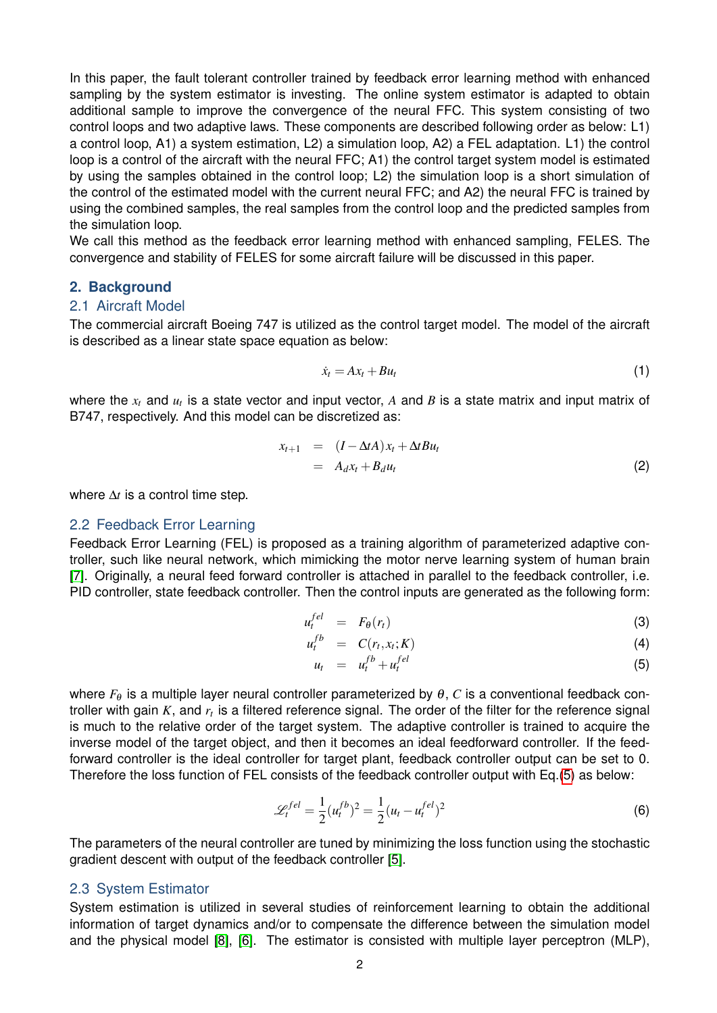In this paper, the fault tolerant controller trained by feedback error learning method with enhanced sampling by the system estimator is investing. The online system estimator is adapted to obtain additional sample to improve the convergence of the neural FFC. This system consisting of two control loops and two adaptive laws. These components are described following order as below: L1) a control loop, A1) a system estimation, L2) a simulation loop, A2) a FEL adaptation. L1) the control loop is a control of the aircraft with the neural FFC; A1) the control target system model is estimated by using the samples obtained in the control loop; L2) the simulation loop is a short simulation of the control of the estimated model with the current neural FFC; and A2) the neural FFC is trained by using the combined samples, the real samples from the control loop and the predicted samples from the simulation loop.

We call this method as the feedback error learning method with enhanced sampling, FELES. The convergence and stability of FELES for some aircraft failure will be discussed in this paper.

### **2. Background**

#### 2.1 Aircraft Model

The commercial aircraft Boeing 747 is utilized as the control target model. The model of the aircraft is described as a linear state space equation as below:

$$
\dot{x}_t = Ax_t + Bu_t \tag{1}
$$

where the  $x_t$  and  $u_t$  is a state vector and input vector,  $A$  and  $B$  is a state matrix and input matrix of B747, respectively. And this model can be discretized as:

$$
x_{t+1} = (I - \Delta t A)x_t + \Delta t B u_t
$$
  
=  $A_d x_t + B_d u_t$  (2)

where ∆*t* is a control time step.

#### 2.2 Feedback Error Learning

Feedback Error Learning (FEL) is proposed as a training algorithm of parameterized adaptive controller, such like neural network, which mimicking the motor nerve learning system of human brain [\[7\]](#page-6-4). Originally, a neural feed forward controller is attached in parallel to the feedback controller, i.e. PID controller, state feedback controller. Then the control inputs are generated as the following form:

<span id="page-1-0"></span>
$$
u_t^{fel} = F_{\theta}(r_t) \tag{3}
$$

$$
u_t^{fb} = C(r_t, x_t; K) \tag{4}
$$

$$
u_t = u_t^{fb} + u_t^{fel} \tag{5}
$$

where  $F_{\theta}$  is a multiple layer neural controller parameterized by  $\theta$ , *C* is a conventional feedback controller with gain *K*, and  $r_t$  is a filtered reference signal. The order of the filter for the reference signal is much to the relative order of the target system. The adaptive controller is trained to acquire the inverse model of the target object, and then it becomes an ideal feedforward controller. If the feedforward controller is the ideal controller for target plant, feedback controller output can be set to 0. Therefore the loss function of FEL consists of the feedback controller output with Eq.[\(5\)](#page-1-0) as below:

$$
\mathcal{L}_t^{fel} = \frac{1}{2} (u_t^{fb})^2 = \frac{1}{2} (u_t - u_t^{fel})^2
$$
 (6)

The parameters of the neural controller are tuned by minimizing the loss function using the stochastic gradient descent with output of the feedback controller [\[5\]](#page-6-2).

### 2.3 System Estimator

System estimation is utilized in several studies of reinforcement learning to obtain the additional information of target dynamics and/or to compensate the difference between the simulation model and the physical model [\[8\]](#page-6-5), [\[6\]](#page-6-3). The estimator is consisted with multiple layer perceptron (MLP),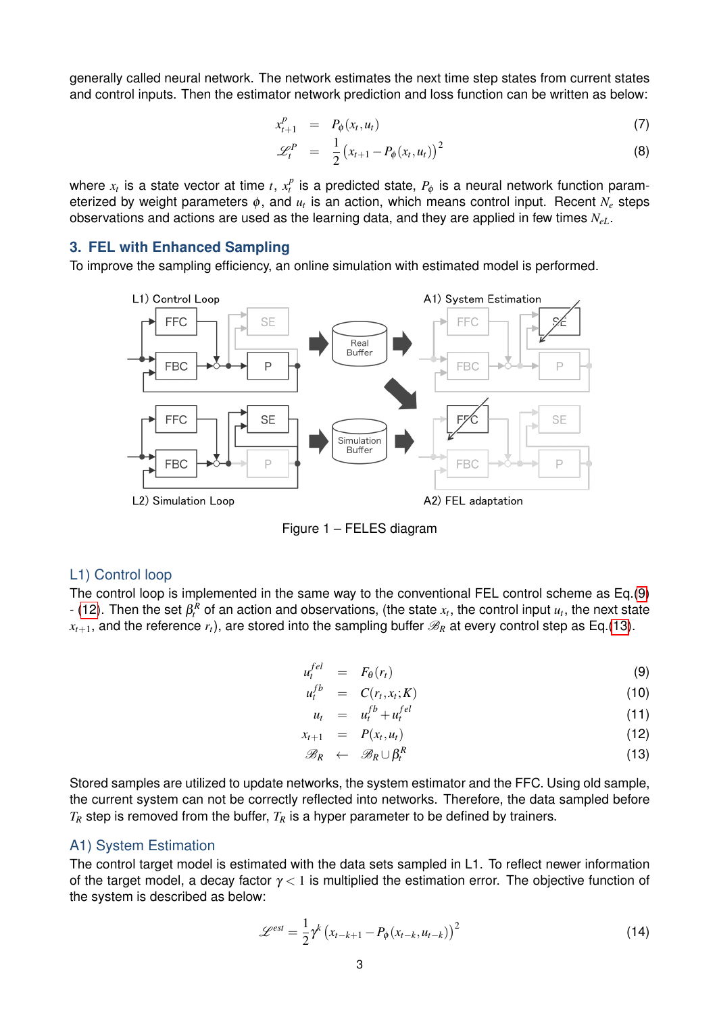generally called neural network. The network estimates the next time step states from current states and control inputs. Then the estimator network prediction and loss function can be written as below:

$$
x_{t+1}^p = P_{\phi}(x_t, u_t) \tag{7}
$$

$$
\mathscr{L}_t^P = \frac{1}{2} (x_{t+1} - P_{\phi}(x_t, u_t))^2 \tag{8}
$$

where  $x_t$  is a state vector at time  $t$ ,  $x_t^p$  is a predicted state,  $P_\phi$  is a neural network function parameterized by weight parameters φ, and *u<sup>t</sup>* is an action, which means control input. Recent *N<sup>e</sup>* steps observations and actions are used as the learning data, and they are applied in few times *NeL*.

#### **3. FEL with Enhanced Sampling**

<span id="page-2-2"></span>To improve the sampling efficiency, an online simulation with estimated model is performed.



Figure 1 – FELES diagram

#### L1) Control loop

The control loop is implemented in the same way to the conventional FEL control scheme as Eq.[\(9\)](#page-2-0)  $t$  [\(12\)](#page-2-0). Then the set  $\beta_t^R$  of an action and observations, (the state  $x_t$ , the control input  $u_t$ , the next state  $x_{t+1}$ , and the reference  $r_t$ ), are stored into the sampling buffer  $\mathscr{B}_R$  at every control step as Eq.[\(13\)](#page-2-0).

*u*

<span id="page-2-0"></span>
$$
u_t^{fel} = F_{\theta}(r_t) \tag{9}
$$

$$
f_t^{fb} = C(r_t, x_t; K) \tag{10}
$$

$$
u_t = u_t^{fb} + u_t^{fel} \tag{11}
$$

$$
x_{t+1} = P(x_t, u_t) \tag{12}
$$

$$
\mathscr{B}_R \leftarrow \mathscr{B}_R \cup \beta_t^R \tag{13}
$$

Stored samples are utilized to update networks, the system estimator and the FFC. Using old sample, the current system can not be correctly reflected into networks. Therefore, the data sampled before  $T_R$  step is removed from the buffer,  $T_R$  is a hyper parameter to be defined by trainers.

### A1) System Estimation

The control target model is estimated with the data sets sampled in L1. To reflect newer information of the target model, a decay factor  $\gamma < 1$  is multiplied the estimation error. The objective function of the system is described as below:

<span id="page-2-1"></span>
$$
\mathcal{L}^{est} = \frac{1}{2} \gamma^{k} \left( x_{t-k+1} - P_{\phi} \left( x_{t-k}, u_{t-k} \right) \right)^{2} \tag{14}
$$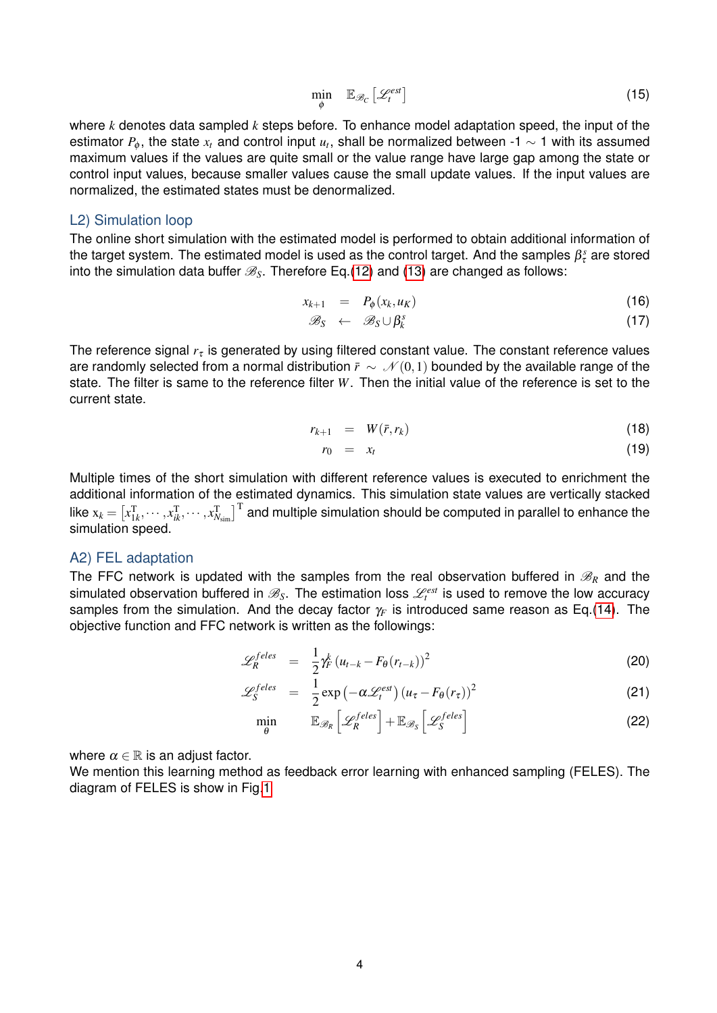$$
\min_{\phi} \quad \mathbb{E}_{\mathscr{B}_C} \left[ \mathscr{L}_t^{est} \right] \tag{15}
$$

where *k* denotes data sampled *k* steps before. To enhance model adaptation speed, the input of the estimator  $P_\phi$ , the state  $x_t$  and control input  $u_t$ , shall be normalized between -1  $\sim$  1 with its assumed maximum values if the values are quite small or the value range have large gap among the state or control input values, because smaller values cause the small update values. If the input values are normalized, the estimated states must be denormalized.

#### L2) Simulation loop

The online short simulation with the estimated model is performed to obtain additional information of the target system. The estimated model is used as the control target. And the samples  $\beta_\tau^s$  are stored into the simulation data buffer  $\mathcal{B}_s$ . Therefore Eq.[\(12\)](#page-2-0) and [\(13\)](#page-2-0) are changed as follows:

$$
x_{k+1} = P_{\phi}(x_k, u_K) \tag{16}
$$

$$
\mathscr{B}_{S} \leftarrow \mathscr{B}_{S} \cup \beta_{k}^{s} \tag{17}
$$

The reference signal  $r<sub>t</sub>$  is generated by using filtered constant value. The constant reference values are randomly selected from a normal distribution  $\bar{r} \sim \mathcal{N}(0,1)$  bounded by the available range of the state. The filter is same to the reference filter *W*. Then the initial value of the reference is set to the current state.

$$
r_{k+1} = W(\bar{r}, r_k) \tag{18}
$$

$$
r_0 = x_t \tag{19}
$$

Multiple times of the short simulation with different reference values is executed to enrichment the additional information of the estimated dynamics. This simulation state values are vertically stacked like  $\mathrm{x}_k=[x_{1k}^\mathrm{T},\cdots,x_{ik}^\mathrm{T},\cdots,x_{N_\mathrm{sim}}^\mathrm{T}]^\mathrm{T}$  and multiple simulation should be computed in parallel to enhance the simulation speed.

#### A2) FEL adaptation

The FFC network is updated with the samples from the real observation buffered in  $\mathcal{B}_R$  and the simulated observation buffered in  $\mathscr{B}_S$ . The estimation loss  $\mathscr{L}^{est}_t$  is used to remove the low accuracy samples from the simulation. And the decay factor  $\gamma_F$  is introduced same reason as Eq.[\(14\)](#page-2-1). The objective function and FFC network is written as the followings:

<span id="page-3-0"></span>
$$
\mathscr{L}_{R}^{feles} = \frac{1}{2} \gamma_F^k (u_{t-k} - F_{\theta}(r_{t-k}))^2
$$
 (20)

$$
\mathcal{L}_S^{feles} = \frac{1}{2} \exp\left(-\alpha \mathcal{L}_t^{est}\right) \left(u_\tau - F_\theta(r_\tau)\right)^2 \tag{21}
$$

$$
\min_{\theta} \qquad \mathbb{E}_{\mathscr{B}_R} \left[ \mathscr{L}_R^{feles} \right] + \mathbb{E}_{\mathscr{B}_S} \left[ \mathscr{L}_S^{feles} \right] \tag{22}
$$

where  $\alpha \in \mathbb{R}$  is an adjust factor.

We mention this learning method as feedback error learning with enhanced sampling (FELES). The diagram of FELES is show in Fig[.1](#page-2-2)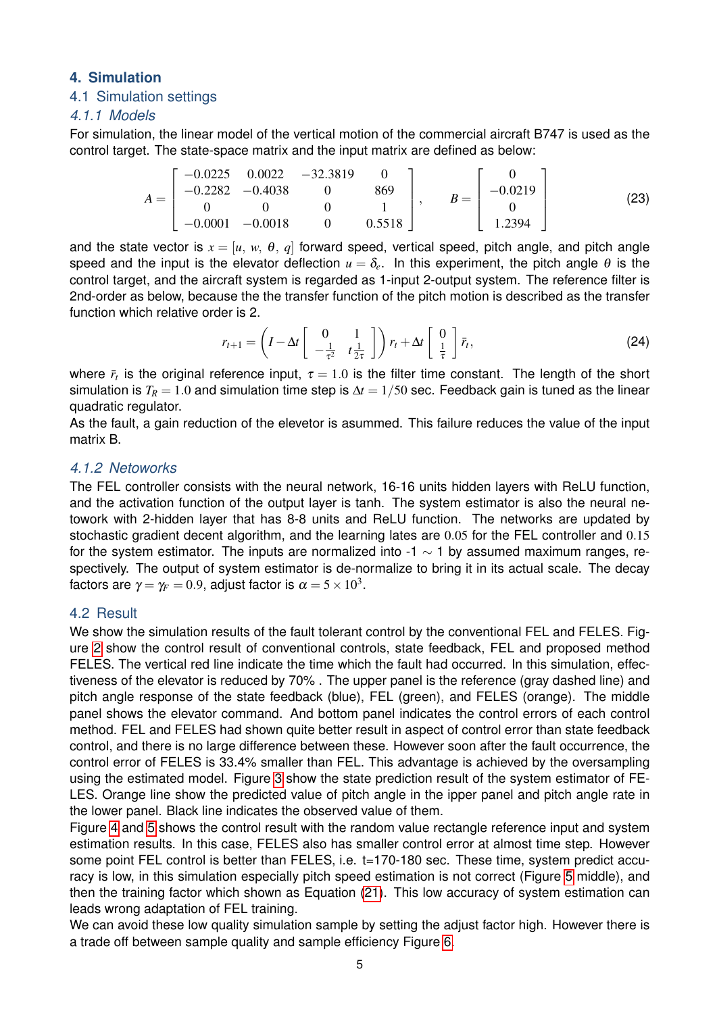# **4. Simulation**

# 4.1 Simulation settings

# *4.1.1 Models*

For simulation, the linear model of the vertical motion of the commercial aircraft B747 is used as the control target. The state-space matrix and the input matrix are defined as below:

$$
A = \begin{bmatrix} -0.0225 & 0.0022 & -32.3819 & 0 \\ -0.2282 & -0.4038 & 0 & 869 \\ 0 & 0 & 0 & 1 \\ -0.0001 & -0.0018 & 0 & 0.5518 \end{bmatrix}, \qquad B = \begin{bmatrix} 0 \\ -0.0219 \\ 0 \\ 1.2394 \end{bmatrix}
$$
 (23)

and the state vector is  $x = [u, w, \theta, q]$  forward speed, vertical speed, pitch angle, and pitch angle speed and the input is the elevator deflection  $u = \delta_e$ . In this experiment, the pitch angle  $\theta$  is the control target, and the aircraft system is regarded as 1-input 2-output system. The reference filter is 2nd-order as below, because the the transfer function of the pitch motion is described as the transfer function which relative order is 2.

$$
r_{t+1} = \left(I - \Delta t \begin{bmatrix} 0 & 1 \\ -\frac{1}{\tau^2} & t\frac{1}{2\tau} \end{bmatrix}\right) r_t + \Delta t \begin{bmatrix} 0 \\ \frac{1}{\tau} \end{bmatrix} \bar{r}_t, \tag{24}
$$

where  $\bar{r}_t$  is the original reference input,  $\tau=1.0$  is the filter time constant. The length of the short simulation is  $T_R = 1.0$  and simulation time step is  $\Delta t = 1/50$  sec. Feedback gain is tuned as the linear quadratic regulator.

As the fault, a gain reduction of the elevetor is asummed. This failure reduces the value of the input matrix B.

# *4.1.2 Netoworks*

The FEL controller consists with the neural network, 16-16 units hidden layers with ReLU function, and the activation function of the output layer is tanh. The system estimator is also the neural netowork with 2-hidden layer that has 8-8 units and ReLU function. The networks are updated by stochastic gradient decent algorithm, and the learning lates are 0.05 for the FEL controller and 0.15 for the system estimator. The inputs are normalized into -1  $\sim$  1 by assumed maximum ranges, respectively. The output of system estimator is de-normalize to bring it in its actual scale. The decay factors are  $\gamma\!=\gamma_{\!F}=0.9$ , adjust factor is  $\alpha=$  5  $\times$   $10^3.$ 

## 4.2 Result

We show the simulation results of the fault tolerant control by the conventional FEL and FELES. Figure [2](#page-5-2) show the control result of conventional controls, state feedback, FEL and proposed method FELES. The vertical red line indicate the time which the fault had occurred. In this simulation, effectiveness of the elevator is reduced by 70% . The upper panel is the reference (gray dashed line) and pitch angle response of the state feedback (blue), FEL (green), and FELES (orange). The middle panel shows the elevator command. And bottom panel indicates the control errors of each control method. FEL and FELES had shown quite better result in aspect of control error than state feedback control, and there is no large difference between these. However soon after the fault occurrence, the control error of FELES is 33.4% smaller than FEL. This advantage is achieved by the oversampling using the estimated model. Figure [3](#page-6-6) show the state prediction result of the system estimator of FE-LES. Orange line show the predicted value of pitch angle in the ipper panel and pitch angle rate in the lower panel. Black line indicates the observed value of them.

Figure [4](#page-7-0) and [5](#page-7-1) shows the control result with the random value rectangle reference input and system estimation results. In this case, FELES also has smaller control error at almost time step. However some point FEL control is better than FELES, i.e. t=170-180 sec. These time, system predict accuracy is low, in this simulation especially pitch speed estimation is not correct (Figure [5](#page-7-1) middle), and then the training factor which shown as Equation [\(21\)](#page-3-0). This low accuracy of system estimation can leads wrong adaptation of FEL training.

We can avoid these low quality simulation sample by setting the adjust factor high. However there is a trade off between sample quality and sample efficiency Figure [6.](#page-8-0)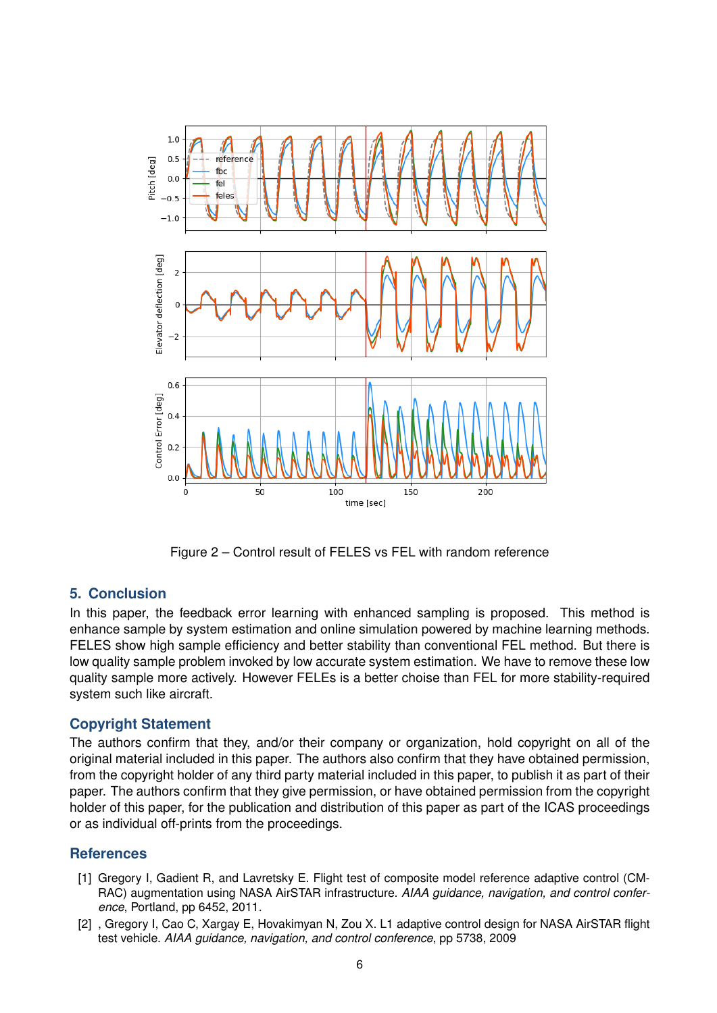<span id="page-5-2"></span>

Figure 2 – Control result of FELES vs FEL with random reference

# **5. Conclusion**

In this paper, the feedback error learning with enhanced sampling is proposed. This method is enhance sample by system estimation and online simulation powered by machine learning methods. FELES show high sample efficiency and better stability than conventional FEL method. But there is low quality sample problem invoked by low accurate system estimation. We have to remove these low quality sample more actively. However FELEs is a better choise than FEL for more stability-required system such like aircraft.

## **Copyright Statement**

The authors confirm that they, and/or their company or organization, hold copyright on all of the original material included in this paper. The authors also confirm that they have obtained permission, from the copyright holder of any third party material included in this paper, to publish it as part of their paper. The authors confirm that they give permission, or have obtained permission from the copyright holder of this paper, for the publication and distribution of this paper as part of the ICAS proceedings or as individual off-prints from the proceedings.

# **References**

- <span id="page-5-0"></span>[1] Gregory I, Gadient R, and Lavretsky E. Flight test of composite model reference adaptive control (CM-RAC) augmentation using NASA AirSTAR infrastructure. *AIAA guidance, navigation, and control conference*, Portland, pp 6452, 2011.
- <span id="page-5-1"></span>[2] , Gregory I, Cao C, Xargay E, Hovakimyan N, Zou X. L1 adaptive control design for NASA AirSTAR flight test vehicle. *AIAA guidance, navigation, and control conference*, pp 5738, 2009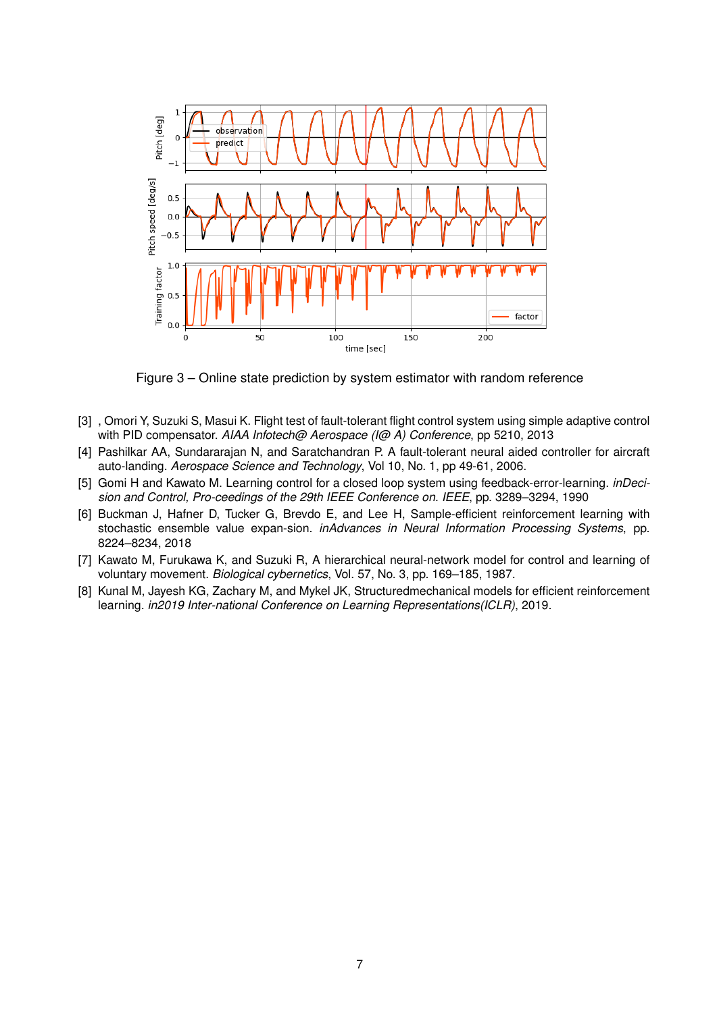<span id="page-6-6"></span>

Figure 3 – Online state prediction by system estimator with random reference

- <span id="page-6-0"></span>[3] , Omori Y, Suzuki S, Masui K. Flight test of fault-tolerant flight control system using simple adaptive control with PID compensator. *AIAA Infotech@ Aerospace (I@ A) Conference*, pp 5210, 2013
- <span id="page-6-1"></span>[4] Pashilkar AA, Sundararajan N, and Saratchandran P. A fault-tolerant neural aided controller for aircraft auto-landing. *Aerospace Science and Technology*, Vol 10, No. 1, pp 49-61, 2006.
- <span id="page-6-2"></span>[5] Gomi H and Kawato M. Learning control for a closed loop system using feedback-error-learning. *inDecision and Control, Pro-ceedings of the 29th IEEE Conference on. IEEE*, pp. 3289–3294, 1990
- <span id="page-6-3"></span>[6] Buckman J, Hafner D, Tucker G, Brevdo E, and Lee H, Sample-efficient reinforcement learning with stochastic ensemble value expan-sion. *inAdvances in Neural Information Processing Systems*, pp. 8224–8234, 2018
- <span id="page-6-4"></span>[7] Kawato M, Furukawa K, and Suzuki R, A hierarchical neural-network model for control and learning of voluntary movement. *Biological cybernetics*, Vol. 57, No. 3, pp. 169–185, 1987.
- <span id="page-6-5"></span>[8] Kunal M, Jayesh KG, Zachary M, and Mykel JK, Structuredmechanical models for efficient reinforcement learning. *in2019 Inter-national Conference on Learning Representations(ICLR)*, 2019.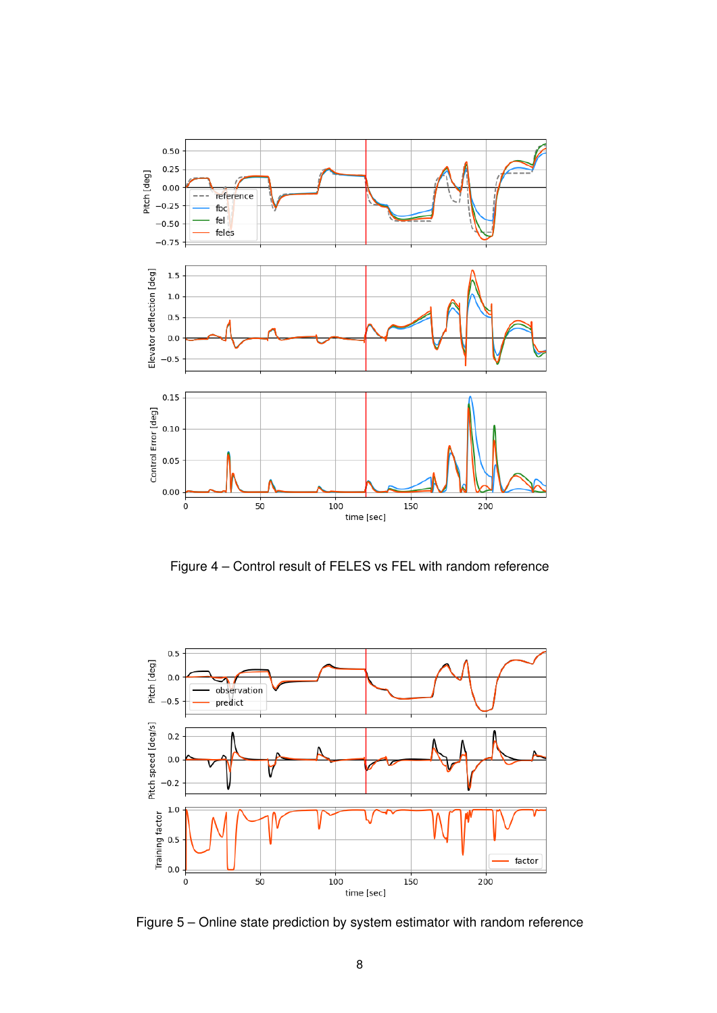<span id="page-7-0"></span>

Figure 4 – Control result of FELES vs FEL with random reference

<span id="page-7-1"></span>

Figure 5 – Online state prediction by system estimator with random reference